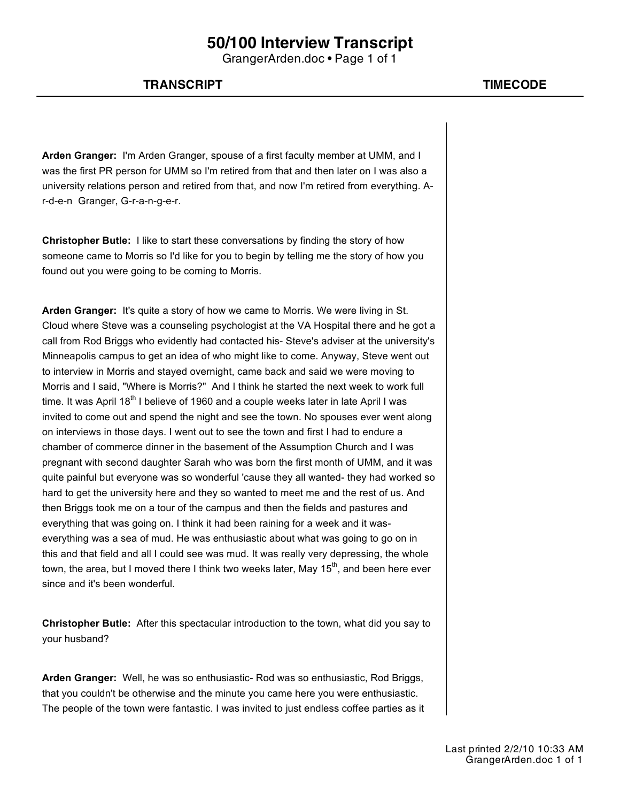GrangerArden.doc • Page 1 of 1

### **TRANSCRIPT TIMECODE**

**Arden Granger:** I'm Arden Granger, spouse of a first faculty member at UMM, and I was the first PR person for UMM so I'm retired from that and then later on I was also a university relations person and retired from that, and now I'm retired from everything. Ar-d-e-n Granger, G-r-a-n-g-e-r.

**Christopher Butle:** I like to start these conversations by finding the story of how someone came to Morris so I'd like for you to begin by telling me the story of how you found out you were going to be coming to Morris.

**Arden Granger:** It's quite a story of how we came to Morris. We were living in St. Cloud where Steve was a counseling psychologist at the VA Hospital there and he got a call from Rod Briggs who evidently had contacted his- Steve's adviser at the university's Minneapolis campus to get an idea of who might like to come. Anyway, Steve went out to interview in Morris and stayed overnight, came back and said we were moving to Morris and I said, "Where is Morris?" And I think he started the next week to work full time. It was April  $18<sup>th</sup>$  I believe of 1960 and a couple weeks later in late April I was invited to come out and spend the night and see the town. No spouses ever went along on interviews in those days. I went out to see the town and first I had to endure a chamber of commerce dinner in the basement of the Assumption Church and I was pregnant with second daughter Sarah who was born the first month of UMM, and it was quite painful but everyone was so wonderful 'cause they all wanted- they had worked so hard to get the university here and they so wanted to meet me and the rest of us. And then Briggs took me on a tour of the campus and then the fields and pastures and everything that was going on. I think it had been raining for a week and it waseverything was a sea of mud. He was enthusiastic about what was going to go on in this and that field and all I could see was mud. It was really very depressing, the whole town, the area, but I moved there I think two weeks later, May  $15<sup>th</sup>$ , and been here ever since and it's been wonderful.

**Christopher Butle:** After this spectacular introduction to the town, what did you say to your husband?

**Arden Granger:** Well, he was so enthusiastic- Rod was so enthusiastic, Rod Briggs, that you couldn't be otherwise and the minute you came here you were enthusiastic. The people of the town were fantastic. I was invited to just endless coffee parties as it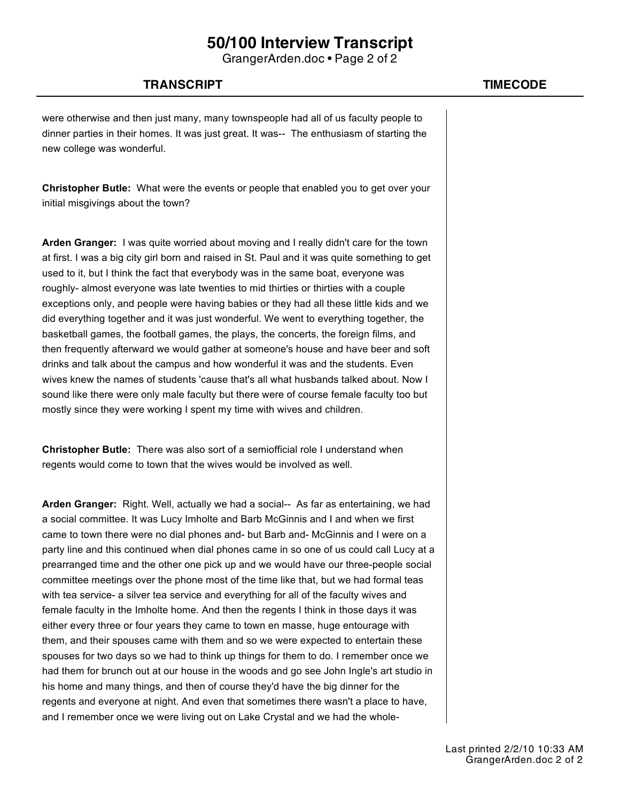GrangerArden.doc • Page 2 of 2

### **TRANSCRIPT TIMECODE**

were otherwise and then just many, many townspeople had all of us faculty people to dinner parties in their homes. It was just great. It was-- The enthusiasm of starting the new college was wonderful.

**Christopher Butle:** What were the events or people that enabled you to get over your initial misgivings about the town?

**Arden Granger:** I was quite worried about moving and I really didn't care for the town at first. I was a big city girl born and raised in St. Paul and it was quite something to get used to it, but I think the fact that everybody was in the same boat, everyone was roughly- almost everyone was late twenties to mid thirties or thirties with a couple exceptions only, and people were having babies or they had all these little kids and we did everything together and it was just wonderful. We went to everything together, the basketball games, the football games, the plays, the concerts, the foreign films, and then frequently afterward we would gather at someone's house and have beer and soft drinks and talk about the campus and how wonderful it was and the students. Even wives knew the names of students 'cause that's all what husbands talked about. Now I sound like there were only male faculty but there were of course female faculty too but mostly since they were working I spent my time with wives and children.

**Christopher Butle:** There was also sort of a semiofficial role I understand when regents would come to town that the wives would be involved as well.

**Arden Granger:** Right. Well, actually we had a social-- As far as entertaining, we had a social committee. It was Lucy Imholte and Barb McGinnis and I and when we first came to town there were no dial phones and- but Barb and- McGinnis and I were on a party line and this continued when dial phones came in so one of us could call Lucy at a prearranged time and the other one pick up and we would have our three-people social committee meetings over the phone most of the time like that, but we had formal teas with tea service- a silver tea service and everything for all of the faculty wives and female faculty in the Imholte home. And then the regents I think in those days it was either every three or four years they came to town en masse, huge entourage with them, and their spouses came with them and so we were expected to entertain these spouses for two days so we had to think up things for them to do. I remember once we had them for brunch out at our house in the woods and go see John Ingle's art studio in his home and many things, and then of course they'd have the big dinner for the regents and everyone at night. And even that sometimes there wasn't a place to have, and I remember once we were living out on Lake Crystal and we had the whole-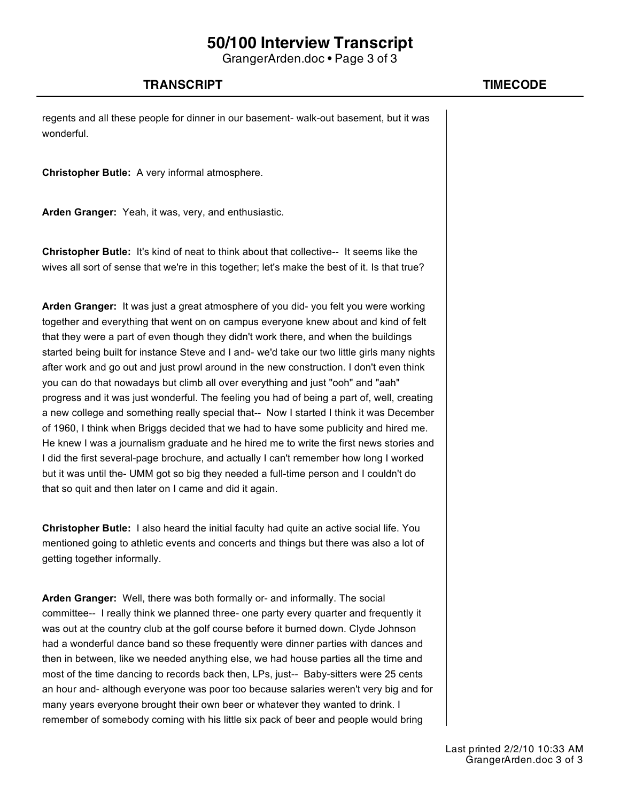GrangerArden.doc • Page 3 of 3

### **TRANSCRIPT TIMECODE**

regents and all these people for dinner in our basement- walk-out basement, but it was wonderful.

**Christopher Butle:** A very informal atmosphere.

**Arden Granger:** Yeah, it was, very, and enthusiastic.

**Christopher Butle:** It's kind of neat to think about that collective-- It seems like the wives all sort of sense that we're in this together; let's make the best of it. Is that true?

**Arden Granger:** It was just a great atmosphere of you did- you felt you were working together and everything that went on on campus everyone knew about and kind of felt that they were a part of even though they didn't work there, and when the buildings started being built for instance Steve and I and- we'd take our two little girls many nights after work and go out and just prowl around in the new construction. I don't even think you can do that nowadays but climb all over everything and just "ooh" and "aah" progress and it was just wonderful. The feeling you had of being a part of, well, creating a new college and something really special that-- Now I started I think it was December of 1960, I think when Briggs decided that we had to have some publicity and hired me. He knew I was a journalism graduate and he hired me to write the first news stories and I did the first several-page brochure, and actually I can't remember how long I worked but it was until the- UMM got so big they needed a full-time person and I couldn't do that so quit and then later on I came and did it again.

**Christopher Butle:** I also heard the initial faculty had quite an active social life. You mentioned going to athletic events and concerts and things but there was also a lot of getting together informally.

**Arden Granger:** Well, there was both formally or- and informally. The social committee-- I really think we planned three- one party every quarter and frequently it was out at the country club at the golf course before it burned down. Clyde Johnson had a wonderful dance band so these frequently were dinner parties with dances and then in between, like we needed anything else, we had house parties all the time and most of the time dancing to records back then, LPs, just-- Baby-sitters were 25 cents an hour and- although everyone was poor too because salaries weren't very big and for many years everyone brought their own beer or whatever they wanted to drink. I remember of somebody coming with his little six pack of beer and people would bring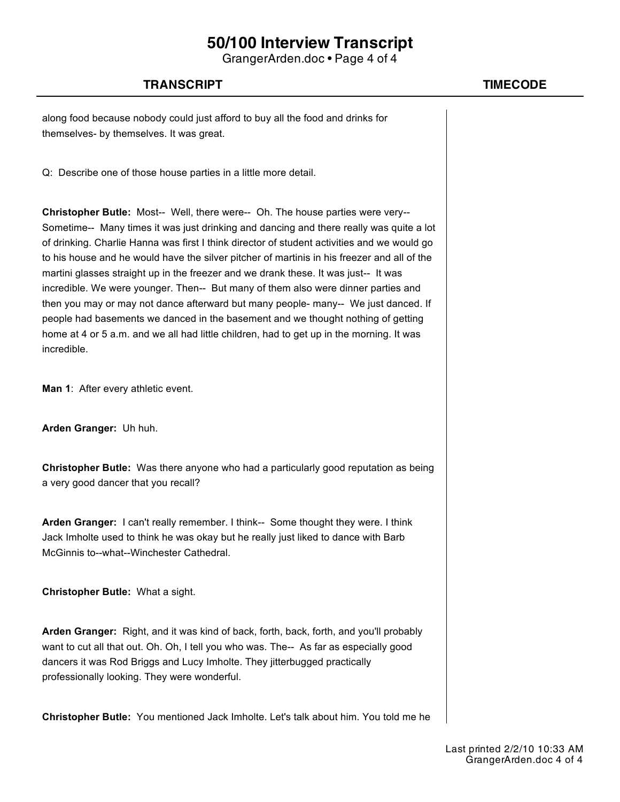GrangerArden.doc • Page 4 of 4

### **TRANSCRIPT TIMECODE**

along food because nobody could just afford to buy all the food and drinks for themselves- by themselves. It was great.

Q: Describe one of those house parties in a little more detail.

**Christopher Butle:** Most-- Well, there were-- Oh. The house parties were very-- Sometime-- Many times it was just drinking and dancing and there really was quite a lot of drinking. Charlie Hanna was first I think director of student activities and we would go to his house and he would have the silver pitcher of martinis in his freezer and all of the martini glasses straight up in the freezer and we drank these. It was just-- It was incredible. We were younger. Then-- But many of them also were dinner parties and then you may or may not dance afterward but many people- many-- We just danced. If people had basements we danced in the basement and we thought nothing of getting home at 4 or 5 a.m. and we all had little children, had to get up in the morning. It was incredible.

**Man 1**: After every athletic event.

**Arden Granger:** Uh huh.

**Christopher Butle:** Was there anyone who had a particularly good reputation as being a very good dancer that you recall?

**Arden Granger:** I can't really remember. I think-- Some thought they were. I think Jack Imholte used to think he was okay but he really just liked to dance with Barb McGinnis to--what--Winchester Cathedral.

**Christopher Butle:** What a sight.

**Arden Granger:** Right, and it was kind of back, forth, back, forth, and you'll probably want to cut all that out. Oh. Oh, I tell you who was. The-- As far as especially good dancers it was Rod Briggs and Lucy Imholte. They jitterbugged practically professionally looking. They were wonderful.

**Christopher Butle:** You mentioned Jack Imholte. Let's talk about him. You told me he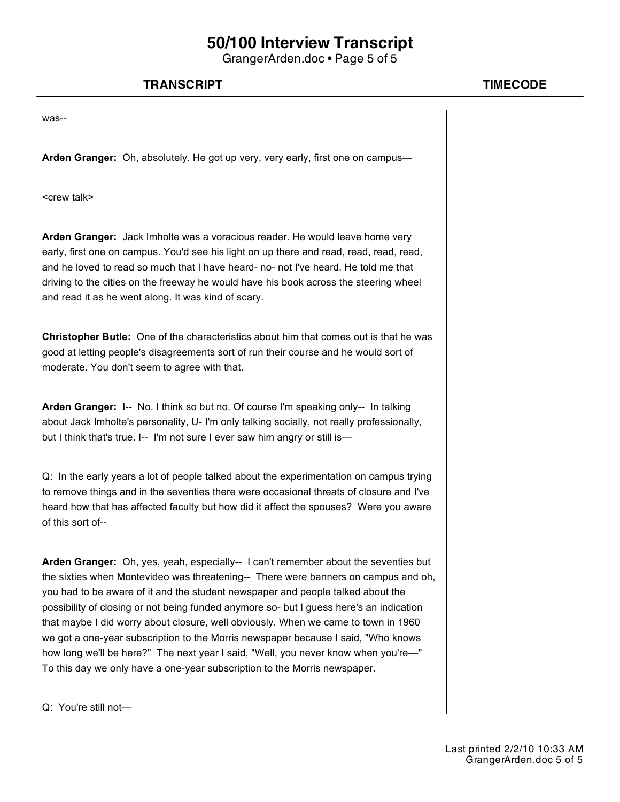GrangerArden.doc • Page 5 of 5

### **TRANSCRIPT TIMECODE**

was--

**Arden Granger:** Oh, absolutely. He got up very, very early, first one on campus—

<crew talk>

**Arden Granger:** Jack Imholte was a voracious reader. He would leave home very early, first one on campus. You'd see his light on up there and read, read, read, read, and he loved to read so much that I have heard- no- not I've heard. He told me that driving to the cities on the freeway he would have his book across the steering wheel and read it as he went along. It was kind of scary.

**Christopher Butle:** One of the characteristics about him that comes out is that he was good at letting people's disagreements sort of run their course and he would sort of moderate. You don't seem to agree with that.

**Arden Granger:** I-- No. I think so but no. Of course I'm speaking only-- In talking about Jack Imholte's personality, U- I'm only talking socially, not really professionally, but I think that's true. I-- I'm not sure I ever saw him angry or still is-

Q: In the early years a lot of people talked about the experimentation on campus trying to remove things and in the seventies there were occasional threats of closure and I've heard how that has affected faculty but how did it affect the spouses? Were you aware of this sort of--

**Arden Granger:** Oh, yes, yeah, especially-- I can't remember about the seventies but the sixties when Montevideo was threatening-- There were banners on campus and oh, you had to be aware of it and the student newspaper and people talked about the possibility of closing or not being funded anymore so- but I guess here's an indication that maybe I did worry about closure, well obviously. When we came to town in 1960 we got a one-year subscription to the Morris newspaper because I said, "Who knows how long we'll be here?" The next year I said, "Well, you never know when you're—" To this day we only have a one-year subscription to the Morris newspaper.

Q: You're still not—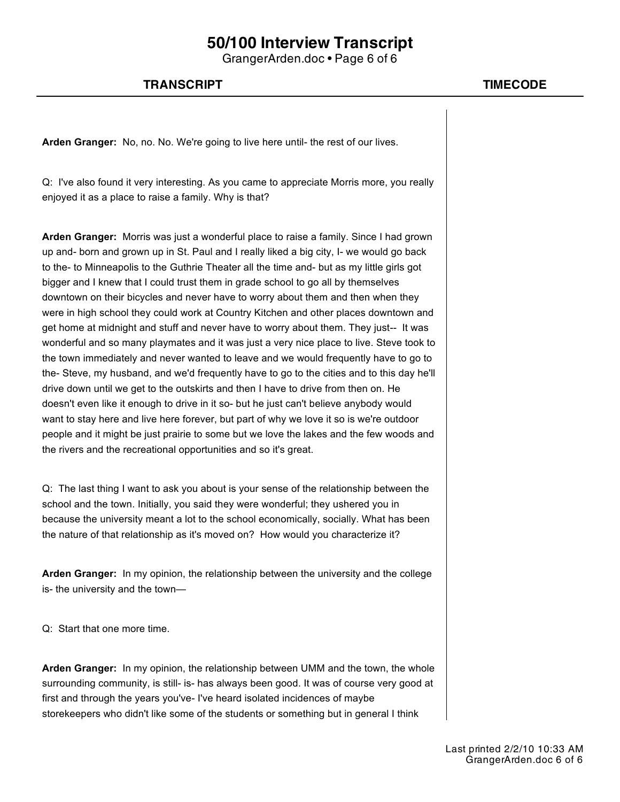GrangerArden.doc • Page 6 of 6

### **TRANSCRIPT TIMECODE**

**Arden Granger:** No, no. No. We're going to live here until- the rest of our lives.

Q: I've also found it very interesting. As you came to appreciate Morris more, you really enjoyed it as a place to raise a family. Why is that?

**Arden Granger:** Morris was just a wonderful place to raise a family. Since I had grown up and- born and grown up in St. Paul and I really liked a big city, I- we would go back to the- to Minneapolis to the Guthrie Theater all the time and- but as my little girls got bigger and I knew that I could trust them in grade school to go all by themselves downtown on their bicycles and never have to worry about them and then when they were in high school they could work at Country Kitchen and other places downtown and get home at midnight and stuff and never have to worry about them. They just-- It was wonderful and so many playmates and it was just a very nice place to live. Steve took to the town immediately and never wanted to leave and we would frequently have to go to the- Steve, my husband, and we'd frequently have to go to the cities and to this day he'll drive down until we get to the outskirts and then I have to drive from then on. He doesn't even like it enough to drive in it so- but he just can't believe anybody would want to stay here and live here forever, but part of why we love it so is we're outdoor people and it might be just prairie to some but we love the lakes and the few woods and the rivers and the recreational opportunities and so it's great.

Q: The last thing I want to ask you about is your sense of the relationship between the school and the town. Initially, you said they were wonderful; they ushered you in because the university meant a lot to the school economically, socially. What has been the nature of that relationship as it's moved on? How would you characterize it?

**Arden Granger:** In my opinion, the relationship between the university and the college is- the university and the town—

Q: Start that one more time.

**Arden Granger:** In my opinion, the relationship between UMM and the town, the whole surrounding community, is still- is- has always been good. It was of course very good at first and through the years you've- I've heard isolated incidences of maybe storekeepers who didn't like some of the students or something but in general I think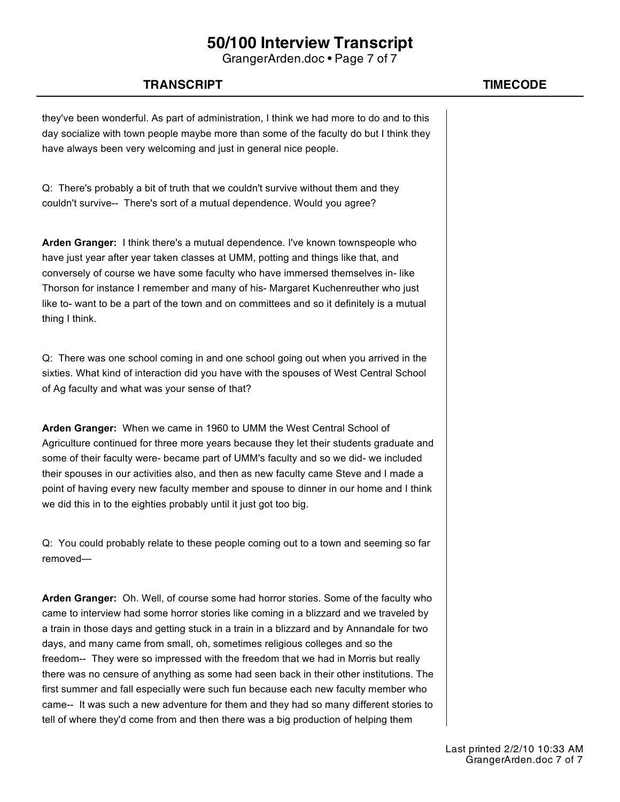GrangerArden.doc • Page 7 of 7

### **TRANSCRIPT TIMECODE**

they've been wonderful. As part of administration, I think we had more to do and to this day socialize with town people maybe more than some of the faculty do but I think they have always been very welcoming and just in general nice people.

Q: There's probably a bit of truth that we couldn't survive without them and they couldn't survive-- There's sort of a mutual dependence. Would you agree?

**Arden Granger:** I think there's a mutual dependence. I've known townspeople who have just year after year taken classes at UMM, potting and things like that, and conversely of course we have some faculty who have immersed themselves in- like Thorson for instance I remember and many of his- Margaret Kuchenreuther who just like to- want to be a part of the town and on committees and so it definitely is a mutual thing I think.

Q: There was one school coming in and one school going out when you arrived in the sixties. What kind of interaction did you have with the spouses of West Central School of Ag faculty and what was your sense of that?

**Arden Granger:** When we came in 1960 to UMM the West Central School of Agriculture continued for three more years because they let their students graduate and some of their faculty were- became part of UMM's faculty and so we did- we included their spouses in our activities also, and then as new faculty came Steve and I made a point of having every new faculty member and spouse to dinner in our home and I think we did this in to the eighties probably until it just got too big.

Q: You could probably relate to these people coming out to a town and seeming so far removed—

**Arden Granger:** Oh. Well, of course some had horror stories. Some of the faculty who came to interview had some horror stories like coming in a blizzard and we traveled by a train in those days and getting stuck in a train in a blizzard and by Annandale for two days, and many came from small, oh, sometimes religious colleges and so the freedom-- They were so impressed with the freedom that we had in Morris but really there was no censure of anything as some had seen back in their other institutions. The first summer and fall especially were such fun because each new faculty member who came-- It was such a new adventure for them and they had so many different stories to tell of where they'd come from and then there was a big production of helping them